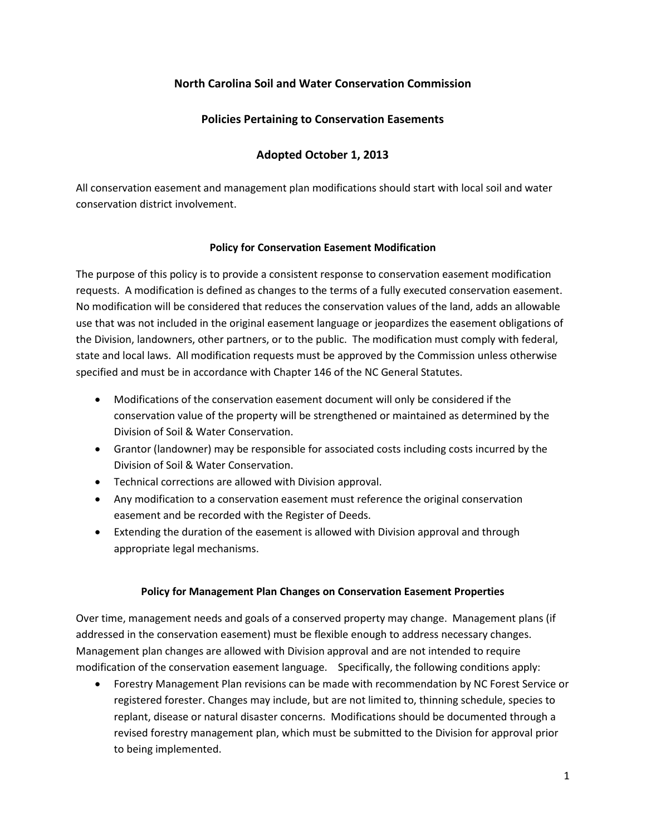# **North Carolina Soil and Water Conservation Commission**

# **Policies Pertaining to Conservation Easements**

# **Adopted October 1, 2013**

All conservation easement and management plan modifications should start with local soil and water conservation district involvement.

#### **Policy for Conservation Easement Modification**

The purpose of this policy is to provide a consistent response to conservation easement modification requests. A modification is defined as changes to the terms of a fully executed conservation easement. No modification will be considered that reduces the conservation values of the land, adds an allowable use that was not included in the original easement language or jeopardizes the easement obligations of the Division, landowners, other partners, or to the public. The modification must comply with federal, state and local laws. All modification requests must be approved by the Commission unless otherwise specified and must be in accordance with Chapter 146 of the NC General Statutes.

- Modifications of the conservation easement document will only be considered if the conservation value of the property will be strengthened or maintained as determined by the Division of Soil & Water Conservation.
- Grantor (landowner) may be responsible for associated costs including costs incurred by the Division of Soil & Water Conservation.
- Technical corrections are allowed with Division approval.
- Any modification to a conservation easement must reference the original conservation easement and be recorded with the Register of Deeds.
- Extending the duration of the easement is allowed with Division approval and through appropriate legal mechanisms.

## **Policy for Management Plan Changes on Conservation Easement Properties**

Over time, management needs and goals of a conserved property may change. Management plans (if addressed in the conservation easement) must be flexible enough to address necessary changes. Management plan changes are allowed with Division approval and are not intended to require modification of the conservation easement language. Specifically, the following conditions apply:

• Forestry Management Plan revisions can be made with recommendation by NC Forest Service or registered forester. Changes may include, but are not limited to, thinning schedule, species to replant, disease or natural disaster concerns. Modifications should be documented through a revised forestry management plan, which must be submitted to the Division for approval prior to being implemented.